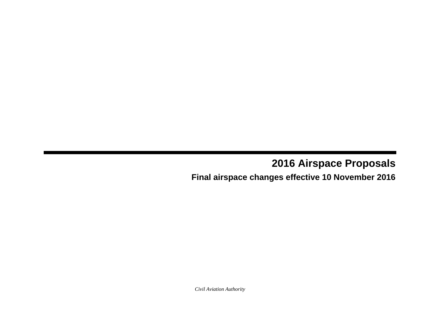# **2016 Airspace Proposals**

## **Final airspace changes effective 10 November 2016**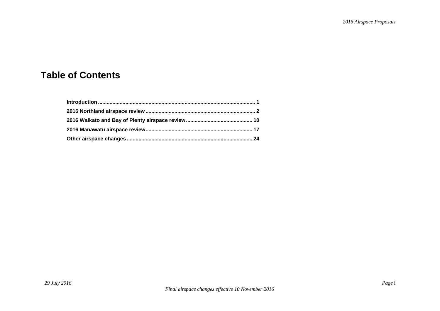## **Table of Contents**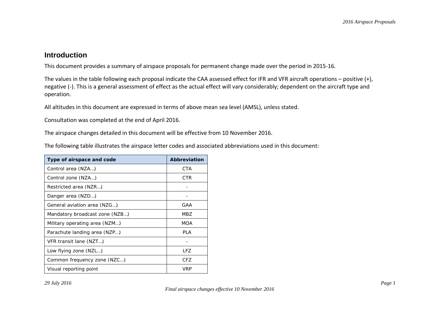### **Introduction**

This document provides a summary of airspace proposals for permanent change made over the period in 2015-16.

The values in the table following each proposal indicate the CAA assessed effect for IFR and VFR aircraft operations – positive (+), negative (-). This is a general assessment of effect as the actual effect will vary considerably; dependent on the aircraft type and operation.

All altitudes in this document are expressed in terms of above mean sea level (AMSL), unless stated.

Consultation was completed at the end of April 2016.

The airspace changes detailed in this document will be effective from 10 November 2016.

The following table illustrates the airspace letter codes and associated abbreviations used in this document:

| Type of airspace and code      | Abbreviation |
|--------------------------------|--------------|
| Control area (NZA)             | <b>CTA</b>   |
| Control zone (NZA)             | CTR          |
| Restricted area (NZR)          |              |
| Danger area (NZD)              |              |
| General aviation area (NZG)    | GAA          |
| Mandatory broadcast zone (NZB) | MBZ          |
| Military operating area (NZM)  | MOA          |
| Parachute landing area (NZP)   | <b>PLA</b>   |
| VFR transit lane (NZT)         |              |
| Low flying zone (NZL)          | IFZ          |
| Common frequency zone (NZC)    | CFZ.         |
| Visual reporting point         | <b>VRP</b>   |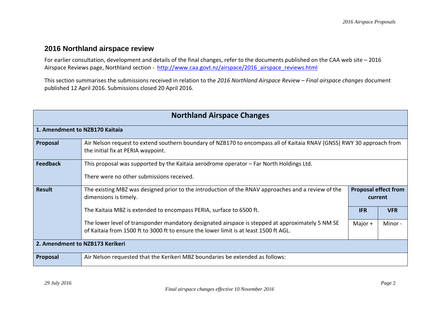### **2016 Northland airspace review**

For earlier consultation, development and details of the final changes, refer to the documents published on the CAA web site – 2016 Airspace Reviews page, Northland section - [http://www.caa.govt.nz/airspace/2016\\_airspace\\_reviews.html](http://www.caa.govt.nz/airspace/2016_airspace_reviews.html)

This section summarises the submissions received in relation to the *2016 Northland Airspace Review – Final airspace changes* document published 12 April 2016. Submissions closed 20 April 2016.

| <b>Northland Airspace Changes</b> |                                                                                                                                                                                           |                                        |            |
|-----------------------------------|-------------------------------------------------------------------------------------------------------------------------------------------------------------------------------------------|----------------------------------------|------------|
| 1. Amendment to NZB170 Kaitaia    |                                                                                                                                                                                           |                                        |            |
| Proposal                          | Air Nelson request to extend southern boundary of NZB170 to encompass all of Kaitaia RNAV (GNSS) RWY 30 approach from<br>the initial fix at PERIA waypoint.                               |                                        |            |
| <b>Feedback</b>                   | This proposal was supported by the Kaitaia aerodrome operator – Far North Holdings Ltd.<br>There were no other submissions received.                                                      |                                        |            |
| <b>Result</b>                     | The existing MBZ was designed prior to the introduction of the RNAV approaches and a review of the<br>dimensions is timely.                                                               | <b>Proposal effect from</b><br>current |            |
|                                   | The Kaitaia MBZ is extended to encompass PERIA, surface to 6500 ft.                                                                                                                       | <b>IFR</b>                             | <b>VFR</b> |
|                                   | The lower level of transponder mandatory designated airspace is stepped at approximately 5 NM SE<br>of Kaitaia from 1500 ft to 3000 ft to ensure the lower limit is at least 1500 ft AGL. | Major $+$                              | Minor -    |
| 2. Amendment to NZB173 Kerikeri   |                                                                                                                                                                                           |                                        |            |
| Proposal                          | Air Nelson requested that the Kerikeri MBZ boundaries be extended as follows:                                                                                                             |                                        |            |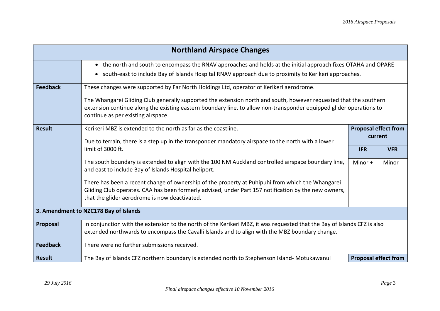|                                       | <b>Northland Airspace Changes</b>                                                                                                                                                                                                                                                                                                                                         |                       |                                        |  |
|---------------------------------------|---------------------------------------------------------------------------------------------------------------------------------------------------------------------------------------------------------------------------------------------------------------------------------------------------------------------------------------------------------------------------|-----------------------|----------------------------------------|--|
|                                       | • the north and south to encompass the RNAV approaches and holds at the initial approach fixes OTAHA and OPARE<br>• south-east to include Bay of Islands Hospital RNAV approach due to proximity to Kerikeri approaches.                                                                                                                                                  |                       |                                        |  |
| <b>Feedback</b>                       | These changes were supported by Far North Holdings Ltd, operator of Kerikeri aerodrome.<br>The Whangarei Gliding Club generally supported the extension north and south, however requested that the southern<br>extension continue along the existing eastern boundary line, to allow non-transponder equipped glider operations to<br>continue as per existing airspace. |                       |                                        |  |
| <b>Result</b>                         | Kerikeri MBZ is extended to the north as far as the coastline.<br>Due to terrain, there is a step up in the transponder mandatory airspace to the north with a lower                                                                                                                                                                                                      |                       | <b>Proposal effect from</b><br>current |  |
|                                       | limit of 3000 ft.<br>The south boundary is extended to align with the 100 NM Auckland controlled airspace boundary line,<br>and east to include Bay of Islands Hospital heliport.                                                                                                                                                                                         | <b>IFR</b><br>Minor + | <b>VFR</b><br>Minor-                   |  |
|                                       | There has been a recent change of ownership of the property at Puhipuhi from which the Whangarei<br>Gliding Club operates. CAA has been formerly advised, under Part 157 notification by the new owners,<br>that the glider aerodrome is now deactivated.                                                                                                                 |                       |                                        |  |
| 3. Amendment to NZC178 Bay of Islands |                                                                                                                                                                                                                                                                                                                                                                           |                       |                                        |  |
| Proposal                              | In conjunction with the extension to the north of the Kerikeri MBZ, it was requested that the Bay of Islands CFZ is also<br>extended northwards to encompass the Cavalli Islands and to align with the MBZ boundary change.                                                                                                                                               |                       |                                        |  |
| <b>Feedback</b>                       | There were no further submissions received.                                                                                                                                                                                                                                                                                                                               |                       |                                        |  |
| <b>Result</b>                         | The Bay of Islands CFZ northern boundary is extended north to Stephenson Island- Motukawanui                                                                                                                                                                                                                                                                              |                       | <b>Proposal effect from</b>            |  |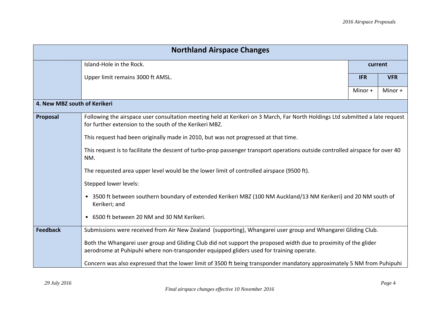| <b>Northland Airspace Changes</b> |                                                                                                                                                                                          |            |            |
|-----------------------------------|------------------------------------------------------------------------------------------------------------------------------------------------------------------------------------------|------------|------------|
|                                   | Island-Hole in the Rock.                                                                                                                                                                 | current    |            |
|                                   | Upper limit remains 3000 ft AMSL.                                                                                                                                                        | <b>IFR</b> | <b>VFR</b> |
|                                   |                                                                                                                                                                                          | Minor +    | Minor +    |
| 4. New MBZ south of Kerikeri      |                                                                                                                                                                                          |            |            |
| Proposal                          | Following the airspace user consultation meeting held at Kerikeri on 3 March, Far North Holdings Ltd submitted a late request<br>for further extension to the south of the Kerikeri MBZ. |            |            |
|                                   | This request had been originally made in 2010, but was not progressed at that time.                                                                                                      |            |            |
|                                   | This request is to facilitate the descent of turbo-prop passenger transport operations outside controlled airspace for over 40<br>NM.                                                    |            |            |
|                                   | The requested area upper level would be the lower limit of controlled airspace (9500 ft).                                                                                                |            |            |
|                                   | Stepped lower levels:                                                                                                                                                                    |            |            |
|                                   | 3500 ft between southern boundary of extended Kerikeri MBZ (100 NM Auckland/13 NM Kerikeri) and 20 NM south of<br>$\bullet$<br>Kerikeri; and                                             |            |            |
|                                   | 6500 ft between 20 NM and 30 NM Kerikeri.<br>$\bullet$                                                                                                                                   |            |            |
| <b>Feedback</b>                   | Submissions were received from Air New Zealand (supporting), Whangarei user group and Whangarei Gliding Club.                                                                            |            |            |
|                                   | Both the Whangarei user group and Gliding Club did not support the proposed width due to proximity of the glider                                                                         |            |            |
|                                   | aerodrome at Puhipuhi where non-transponder equipped gliders used for training operate.                                                                                                  |            |            |
|                                   | Concern was also expressed that the lower limit of 3500 ft being transponder mandatory approximately 5 NM from Puhipuhi                                                                  |            |            |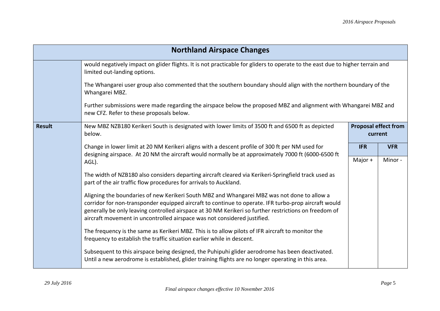| <b>Northland Airspace Changes</b> |                                                                                                                                                                                                                                                                                                                                                                                          |                                        |            |
|-----------------------------------|------------------------------------------------------------------------------------------------------------------------------------------------------------------------------------------------------------------------------------------------------------------------------------------------------------------------------------------------------------------------------------------|----------------------------------------|------------|
|                                   | would negatively impact on glider flights. It is not practicable for gliders to operate to the east due to higher terrain and<br>limited out-landing options.                                                                                                                                                                                                                            |                                        |            |
|                                   | The Whangarei user group also commented that the southern boundary should align with the northern boundary of the<br>Whangarei MBZ.                                                                                                                                                                                                                                                      |                                        |            |
|                                   | Further submissions were made regarding the airspace below the proposed MBZ and alignment with Whangarei MBZ and<br>new CFZ. Refer to these proposals below.                                                                                                                                                                                                                             |                                        |            |
| <b>Result</b>                     | New MBZ NZB180 Kerikeri South is designated with lower limits of 3500 ft and 6500 ft as depicted<br>below.                                                                                                                                                                                                                                                                               | <b>Proposal effect from</b><br>current |            |
|                                   | Change in lower limit at 20 NM Kerikeri aligns with a descent profile of 300 ft per NM used for<br>designing airspace. At 20 NM the aircraft would normally be at approximately 7000 ft (6000-6500 ft                                                                                                                                                                                    | <b>IFR</b>                             | <b>VFR</b> |
|                                   | AGL).                                                                                                                                                                                                                                                                                                                                                                                    | Major +                                | Minor-     |
|                                   | The width of NZB180 also considers departing aircraft cleared via Kerikeri-Springfield track used as<br>part of the air traffic flow procedures for arrivals to Auckland.                                                                                                                                                                                                                |                                        |            |
|                                   | Aligning the boundaries of new Kerikeri South MBZ and Whangarei MBZ was not done to allow a<br>corridor for non-transponder equipped aircraft to continue to operate. IFR turbo-prop aircraft would<br>generally be only leaving controlled airspace at 30 NM Kerikeri so further restrictions on freedom of<br>aircraft movement in uncontrolled airspace was not considered justified. |                                        |            |
|                                   | The frequency is the same as Kerikeri MBZ. This is to allow pilots of IFR aircraft to monitor the<br>frequency to establish the traffic situation earlier while in descent.                                                                                                                                                                                                              |                                        |            |
|                                   | Subsequent to this airspace being designed, the Puhipuhi glider aerodrome has been deactivated.<br>Until a new aerodrome is established, glider training flights are no longer operating in this area.                                                                                                                                                                                   |                                        |            |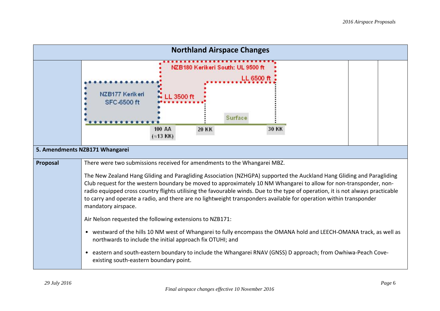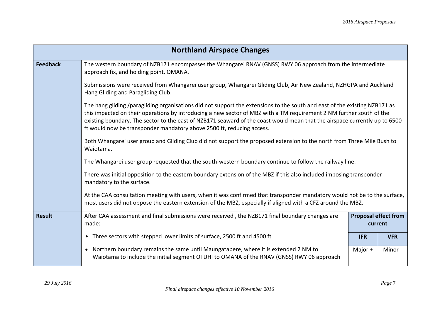|                 | <b>Northland Airspace Changes</b>                                                                                                                                                                                                                                                                                                                                                                                                                         |            |            |  |
|-----------------|-----------------------------------------------------------------------------------------------------------------------------------------------------------------------------------------------------------------------------------------------------------------------------------------------------------------------------------------------------------------------------------------------------------------------------------------------------------|------------|------------|--|
| <b>Feedback</b> | The western boundary of NZB171 encompasses the Whangarei RNAV (GNSS) RWY 06 approach from the intermediate<br>approach fix, and holding point, OMANA.                                                                                                                                                                                                                                                                                                     |            |            |  |
|                 | Submissions were received from Whangarei user group, Whangarei Gliding Club, Air New Zealand, NZHGPA and Auckland<br>Hang Gliding and Paragliding Club.                                                                                                                                                                                                                                                                                                   |            |            |  |
|                 | The hang gliding /paragliding organisations did not support the extensions to the south and east of the existing NZB171 as<br>this impacted on their operations by introducing a new sector of MBZ with a TM requirement 2 NM further south of the<br>existing boundary. The sector to the east of NZB171 seaward of the coast would mean that the airspace currently up to 6500<br>ft would now be transponder mandatory above 2500 ft, reducing access. |            |            |  |
|                 | Both Whangarei user group and Gliding Club did not support the proposed extension to the north from Three Mile Bush to<br>Waiotama.<br>The Whangarei user group requested that the south-western boundary continue to follow the railway line.<br>There was initial opposition to the eastern boundary extension of the MBZ if this also included imposing transponder<br>mandatory to the surface.                                                       |            |            |  |
|                 |                                                                                                                                                                                                                                                                                                                                                                                                                                                           |            |            |  |
|                 |                                                                                                                                                                                                                                                                                                                                                                                                                                                           |            |            |  |
|                 | At the CAA consultation meeting with users, when it was confirmed that transponder mandatory would not be to the surface,<br>most users did not oppose the eastern extension of the MBZ, especially if aligned with a CFZ around the MBZ.                                                                                                                                                                                                                 |            |            |  |
| <b>Result</b>   | After CAA assessment and final submissions were received, the NZB171 final boundary changes are<br><b>Proposal effect from</b><br>made:<br>current                                                                                                                                                                                                                                                                                                        |            |            |  |
|                 | • Three sectors with stepped lower limits of surface, 2500 ft and 4500 ft                                                                                                                                                                                                                                                                                                                                                                                 | <b>IFR</b> | <b>VFR</b> |  |
|                 | Northern boundary remains the same until Maungatapere, where it is extended 2 NM to<br>$\bullet$<br>Waiotama to include the initial segment OTUHI to OMANA of the RNAV (GNSS) RWY 06 approach                                                                                                                                                                                                                                                             | Major +    | Minor-     |  |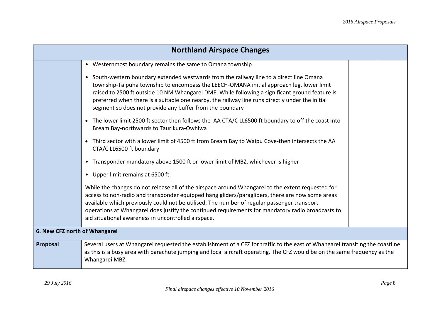| <b>Northland Airspace Changes</b> |                                                                                                                                                                                                                                                                                                                                                                                                                                                                 |  |  |
|-----------------------------------|-----------------------------------------------------------------------------------------------------------------------------------------------------------------------------------------------------------------------------------------------------------------------------------------------------------------------------------------------------------------------------------------------------------------------------------------------------------------|--|--|
|                                   | • Westernmost boundary remains the same to Omana township                                                                                                                                                                                                                                                                                                                                                                                                       |  |  |
|                                   | • South-western boundary extended westwards from the railway line to a direct line Omana<br>township-Taipuha township to encompass the LEECH-OMANA initial approach leg, lower limit<br>raised to 2500 ft outside 10 NM Whangarei DME. While following a significant ground feature is<br>preferred when there is a suitable one nearby, the railway line runs directly under the initial<br>segment so does not provide any buffer from the boundary           |  |  |
|                                   | The lower limit 2500 ft sector then follows the AA CTA/C LL6500 ft boundary to off the coast into<br>$\bullet$<br>Bream Bay-northwards to Taurikura-Owhiwa                                                                                                                                                                                                                                                                                                      |  |  |
|                                   | Third sector with a lower limit of 4500 ft from Bream Bay to Waipu Cove-then intersects the AA<br>$\bullet$<br>CTA/C LL6500 ft boundary                                                                                                                                                                                                                                                                                                                         |  |  |
|                                   | Transponder mandatory above 1500 ft or lower limit of MBZ, whichever is higher<br>$\bullet$                                                                                                                                                                                                                                                                                                                                                                     |  |  |
|                                   | Upper limit remains at 6500 ft.                                                                                                                                                                                                                                                                                                                                                                                                                                 |  |  |
|                                   | While the changes do not release all of the airspace around Whangarei to the extent requested for<br>access to non-radio and transponder equipped hang gliders/paragliders, there are now some areas<br>available which previously could not be utilised. The number of regular passenger transport<br>operations at Whangarei does justify the continued requirements for mandatory radio broadcasts to<br>aid situational awareness in uncontrolled airspace. |  |  |
| 6. New CFZ north of Whangarei     |                                                                                                                                                                                                                                                                                                                                                                                                                                                                 |  |  |
| Proposal                          | Several users at Whangarei requested the establishment of a CFZ for traffic to the east of Whangarei transiting the coastline<br>as this is a busy area with parachute jumping and local aircraft operating. The CFZ would be on the same frequency as the<br>Whangarei MBZ.                                                                                                                                                                                    |  |  |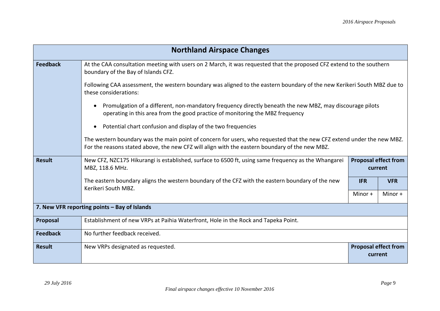|                 | <b>Northland Airspace Changes</b>                                                                                                                                                                                        |                                        |            |
|-----------------|--------------------------------------------------------------------------------------------------------------------------------------------------------------------------------------------------------------------------|----------------------------------------|------------|
| <b>Feedback</b> | At the CAA consultation meeting with users on 2 March, it was requested that the proposed CFZ extend to the southern<br>boundary of the Bay of Islands CFZ.                                                              |                                        |            |
|                 | Following CAA assessment, the western boundary was aligned to the eastern boundary of the new Kerikeri South MBZ due to<br>these considerations:                                                                         |                                        |            |
|                 | Promulgation of a different, non-mandatory frequency directly beneath the new MBZ, may discourage pilots<br>operating in this area from the good practice of monitoring the MBZ frequency                                |                                        |            |
|                 | Potential chart confusion and display of the two frequencies                                                                                                                                                             |                                        |            |
|                 | The western boundary was the main point of concern for users, who requested that the new CFZ extend under the new MBZ.<br>For the reasons stated above, the new CFZ will align with the eastern boundary of the new MBZ. |                                        |            |
| <b>Result</b>   | New CFZ, NZC175 Hikurangi is established, surface to 6500 ft, using same frequency as the Whangarei<br>MBZ, 118.6 MHz.                                                                                                   | <b>Proposal effect from</b><br>current |            |
|                 | The eastern boundary aligns the western boundary of the CFZ with the eastern boundary of the new<br>Kerikeri South MBZ.                                                                                                  | <b>IFR</b>                             | <b>VFR</b> |
|                 |                                                                                                                                                                                                                          | Minor +                                | Minor +    |
|                 | 7. New VFR reporting points - Bay of Islands                                                                                                                                                                             |                                        |            |
| Proposal        | Establishment of new VRPs at Paihia Waterfront, Hole in the Rock and Tapeka Point.                                                                                                                                       |                                        |            |
| <b>Feedback</b> | No further feedback received.                                                                                                                                                                                            |                                        |            |
| <b>Result</b>   | New VRPs designated as requested.                                                                                                                                                                                        | <b>Proposal effect from</b><br>current |            |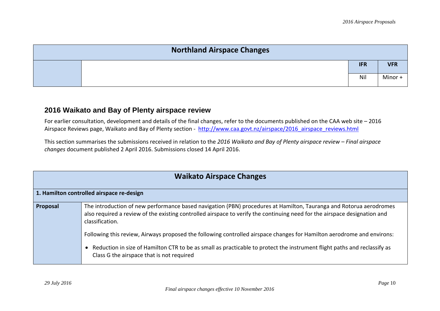| <b>Northland Airspace Changes</b> |            |            |
|-----------------------------------|------------|------------|
|                                   | <b>IFR</b> | <b>VFR</b> |
|                                   | Nil        | Minor +    |

### **2016 Waikato and Bay of Plenty airspace review**

For earlier consultation, development and details of the final changes, refer to the documents published on the CAA web site – 2016 Airspace Reviews page, Waikato and Bay of Plenty section - [http://www.caa.govt.nz/airspace/2016\\_airspace\\_reviews.html](http://www.caa.govt.nz/airspace/2016_airspace_reviews.html)

This section summarises the submissions received in relation to the *2016 Waikato and Bay of Plenty airspace review – Final airspace changes* document published 2 April 2016. Submissions closed 14 April 2016.

| <b>Waikato Airspace Changes</b> |                                                                                                                                                                                                                                                                    |  |  |
|---------------------------------|--------------------------------------------------------------------------------------------------------------------------------------------------------------------------------------------------------------------------------------------------------------------|--|--|
|                                 | 1. Hamilton controlled airspace re-design                                                                                                                                                                                                                          |  |  |
| Proposal                        | The introduction of new performance based navigation (PBN) procedures at Hamilton, Tauranga and Rotorua aerodromes<br>also required a review of the existing controlled airspace to verify the continuing need for the airspace designation and<br>classification. |  |  |
|                                 | Following this review, Airways proposed the following controlled airspace changes for Hamilton aerodrome and environs:                                                                                                                                             |  |  |
|                                 | Reduction in size of Hamilton CTR to be as small as practicable to protect the instrument flight paths and reclassify as<br>Class G the airspace that is not required                                                                                              |  |  |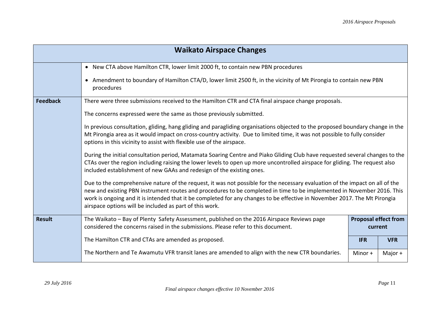| <b>Waikato Airspace Changes</b> |                                                                                                                                                                                                                                                                                                                                                                                                                                                |                                        |            |  |
|---------------------------------|------------------------------------------------------------------------------------------------------------------------------------------------------------------------------------------------------------------------------------------------------------------------------------------------------------------------------------------------------------------------------------------------------------------------------------------------|----------------------------------------|------------|--|
|                                 | • New CTA above Hamilton CTR, lower limit 2000 ft, to contain new PBN procedures                                                                                                                                                                                                                                                                                                                                                               |                                        |            |  |
|                                 | • Amendment to boundary of Hamilton CTA/D, lower limit 2500 ft, in the vicinity of Mt Pirongia to contain new PBN<br>procedures                                                                                                                                                                                                                                                                                                                |                                        |            |  |
| <b>Feedback</b>                 | There were three submissions received to the Hamilton CTR and CTA final airspace change proposals.                                                                                                                                                                                                                                                                                                                                             |                                        |            |  |
|                                 | The concerns expressed were the same as those previously submitted.                                                                                                                                                                                                                                                                                                                                                                            |                                        |            |  |
|                                 | In previous consultation, gliding, hang gliding and paragliding organisations objected to the proposed boundary change in the<br>Mt Pirongia area as it would impact on cross-country activity. Due to limited time, it was not possible to fully consider<br>options in this vicinity to assist with flexible use of the airspace.                                                                                                            |                                        |            |  |
|                                 | During the initial consultation period, Matamata Soaring Centre and Piako Gliding Club have requested several changes to the<br>CTAs over the region including raising the lower levels to open up more uncontrolled airspace for gliding. The request also<br>included establishment of new GAAs and redesign of the existing ones.                                                                                                           |                                        |            |  |
|                                 | Due to the comprehensive nature of the request, it was not possible for the necessary evaluation of the impact on all of the<br>new and existing PBN instrument routes and procedures to be completed in time to be implemented in November 2016. This<br>work is ongoing and it is intended that it be completed for any changes to be effective in November 2017. The Mt Pirongia<br>airspace options will be included as part of this work. |                                        |            |  |
| <b>Result</b>                   | The Waikato - Bay of Plenty Safety Assessment, published on the 2016 Airspace Reviews page<br>considered the concerns raised in the submissions. Please refer to this document.                                                                                                                                                                                                                                                                | <b>Proposal effect from</b><br>current |            |  |
|                                 | The Hamilton CTR and CTAs are amended as proposed.                                                                                                                                                                                                                                                                                                                                                                                             | <b>IFR</b>                             | <b>VFR</b> |  |
|                                 | The Northern and Te Awamutu VFR transit lanes are amended to align with the new CTR boundaries.                                                                                                                                                                                                                                                                                                                                                | Minor +                                | Major +    |  |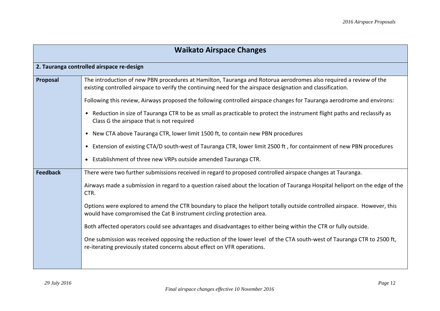| <b>Waikato Airspace Changes</b> |                                                                                                                                                                                                                                  |  |  |  |
|---------------------------------|----------------------------------------------------------------------------------------------------------------------------------------------------------------------------------------------------------------------------------|--|--|--|
|                                 | 2. Tauranga controlled airspace re-design                                                                                                                                                                                        |  |  |  |
| Proposal                        | The introduction of new PBN procedures at Hamilton, Tauranga and Rotorua aerodromes also required a review of the<br>existing controlled airspace to verify the continuing need for the airspace designation and classification. |  |  |  |
|                                 | Following this review, Airways proposed the following controlled airspace changes for Tauranga aerodrome and environs:                                                                                                           |  |  |  |
|                                 | • Reduction in size of Tauranga CTR to be as small as practicable to protect the instrument flight paths and reclassify as<br>Class G the airspace that is not required                                                          |  |  |  |
|                                 | New CTA above Tauranga CTR, lower limit 1500 ft, to contain new PBN procedures                                                                                                                                                   |  |  |  |
|                                 | Extension of existing CTA/D south-west of Tauranga CTR, lower limit 2500 ft, for containment of new PBN procedures<br>$\bullet$                                                                                                  |  |  |  |
|                                 | Establishment of three new VRPs outside amended Tauranga CTR.                                                                                                                                                                    |  |  |  |
| <b>Feedback</b>                 | There were two further submissions received in regard to proposed controlled airspace changes at Tauranga.                                                                                                                       |  |  |  |
|                                 | Airways made a submission in regard to a question raised about the location of Tauranga Hospital heliport on the edge of the<br>CTR.                                                                                             |  |  |  |
|                                 | Options were explored to amend the CTR boundary to place the heliport totally outside controlled airspace. However, this<br>would have compromised the Cat B instrument circling protection area.                                |  |  |  |
|                                 | Both affected operators could see advantages and disadvantages to either being within the CTR or fully outside.                                                                                                                  |  |  |  |
|                                 | One submission was received opposing the reduction of the lower level of the CTA south-west of Tauranga CTR to 2500 ft,<br>re-iterating previously stated concerns about effect on VFR operations.                               |  |  |  |
|                                 |                                                                                                                                                                                                                                  |  |  |  |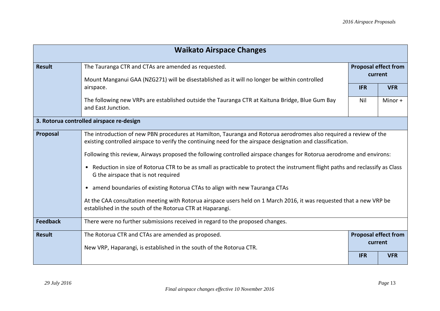| <b>Waikato Airspace Changes</b> |                                                                                                                                                                                                                                  |                                        |            |
|---------------------------------|----------------------------------------------------------------------------------------------------------------------------------------------------------------------------------------------------------------------------------|----------------------------------------|------------|
| <b>Result</b>                   | The Tauranga CTR and CTAs are amended as requested.                                                                                                                                                                              | <b>Proposal effect from</b><br>current |            |
|                                 | Mount Manganui GAA (NZG271) will be disestablished as it will no longer be within controlled<br>airspace.                                                                                                                        | <b>IFR</b>                             | <b>VFR</b> |
|                                 | The following new VRPs are established outside the Tauranga CTR at Kaituna Bridge, Blue Gum Bay<br>and East Junction.                                                                                                            | Nil                                    | Minor +    |
|                                 | 3. Rotorua controlled airspace re-design                                                                                                                                                                                         |                                        |            |
| Proposal                        | The introduction of new PBN procedures at Hamilton, Tauranga and Rotorua aerodromes also required a review of the<br>existing controlled airspace to verify the continuing need for the airspace designation and classification. |                                        |            |
|                                 | Following this review, Airways proposed the following controlled airspace changes for Rotorua aerodrome and environs:                                                                                                            |                                        |            |
|                                 | Reduction in size of Rotorua CTR to be as small as practicable to protect the instrument flight paths and reclassify as Class<br>$\bullet$<br>G the airspace that is not required                                                |                                        |            |
|                                 | • amend boundaries of existing Rotorua CTAs to align with new Tauranga CTAs                                                                                                                                                      |                                        |            |
|                                 | At the CAA consultation meeting with Rotorua airspace users held on 1 March 2016, it was requested that a new VRP be<br>established in the south of the Rotorua CTR at Haparangi.                                                |                                        |            |
| <b>Feedback</b>                 | There were no further submissions received in regard to the proposed changes.                                                                                                                                                    |                                        |            |
| <b>Result</b>                   | The Rotorua CTR and CTAs are amended as proposed.                                                                                                                                                                                | <b>Proposal effect from</b><br>current |            |
|                                 | New VRP, Haparangi, is established in the south of the Rotorua CTR.                                                                                                                                                              |                                        |            |
|                                 |                                                                                                                                                                                                                                  | <b>IFR</b>                             | <b>VFR</b> |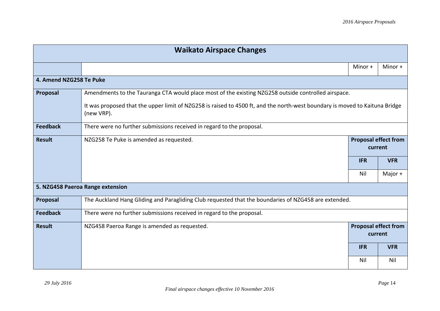| <b>Waikato Airspace Changes</b> |                                                                                                                                           |                                        |            |
|---------------------------------|-------------------------------------------------------------------------------------------------------------------------------------------|----------------------------------------|------------|
|                                 |                                                                                                                                           | Minor +                                | Minor +    |
| 4. Amend NZG258 Te Puke         |                                                                                                                                           |                                        |            |
| Proposal                        | Amendments to the Tauranga CTA would place most of the existing NZG258 outside controlled airspace.                                       |                                        |            |
|                                 | It was proposed that the upper limit of NZG258 is raised to 4500 ft, and the north-west boundary is moved to Kaituna Bridge<br>(new VRP). |                                        |            |
| <b>Feedback</b>                 | There were no further submissions received in regard to the proposal.                                                                     |                                        |            |
| <b>Result</b>                   | NZG258 Te Puke is amended as requested.                                                                                                   | <b>Proposal effect from</b><br>current |            |
|                                 |                                                                                                                                           | <b>IFR</b>                             | <b>VFR</b> |
|                                 |                                                                                                                                           | Nil                                    | Major +    |
|                                 | 5. NZG458 Paeroa Range extension                                                                                                          |                                        |            |
| Proposal                        | The Auckland Hang Gliding and Paragliding Club requested that the boundaries of NZG458 are extended.                                      |                                        |            |
| <b>Feedback</b>                 | There were no further submissions received in regard to the proposal.                                                                     |                                        |            |
| <b>Result</b>                   | NZG458 Paeroa Range is amended as requested.                                                                                              | <b>Proposal effect from</b>            | current    |
|                                 |                                                                                                                                           | <b>IFR</b>                             | <b>VFR</b> |
|                                 |                                                                                                                                           | Nil                                    | Nil        |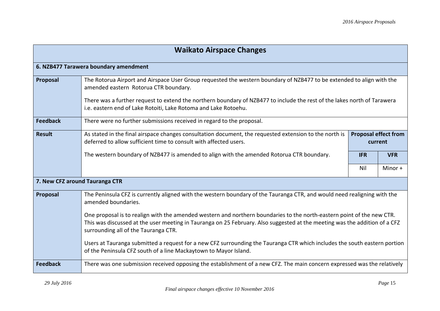| <b>Waikato Airspace Changes</b> |                                                                                                                                                                                                                                                                                              |                                        |            |  |  |
|---------------------------------|----------------------------------------------------------------------------------------------------------------------------------------------------------------------------------------------------------------------------------------------------------------------------------------------|----------------------------------------|------------|--|--|
|                                 | 6. NZB477 Tarawera boundary amendment                                                                                                                                                                                                                                                        |                                        |            |  |  |
| Proposal                        | The Rotorua Airport and Airspace User Group requested the western boundary of NZB477 to be extended to align with the<br>amended eastern Rotorua CTR boundary.                                                                                                                               |                                        |            |  |  |
|                                 | There was a further request to extend the northern boundary of NZB477 to include the rest of the lakes north of Tarawera<br>i.e. eastern end of Lake Rotoiti, Lake Rotoma and Lake Rotoehu.                                                                                                  |                                        |            |  |  |
| <b>Feedback</b>                 | There were no further submissions received in regard to the proposal.                                                                                                                                                                                                                        |                                        |            |  |  |
| <b>Result</b>                   | As stated in the final airspace changes consultation document, the requested extension to the north is<br>deferred to allow sufficient time to consult with affected users.                                                                                                                  | <b>Proposal effect from</b><br>current |            |  |  |
|                                 | The western boundary of NZB477 is amended to align with the amended Rotorua CTR boundary.                                                                                                                                                                                                    | <b>IFR</b>                             | <b>VFR</b> |  |  |
|                                 |                                                                                                                                                                                                                                                                                              | Nil                                    | Minor $+$  |  |  |
| 7. New CFZ around Tauranga CTR  |                                                                                                                                                                                                                                                                                              |                                        |            |  |  |
| Proposal                        | The Peninsula CFZ is currently aligned with the western boundary of the Tauranga CTR, and would need realigning with the<br>amended boundaries.                                                                                                                                              |                                        |            |  |  |
|                                 | One proposal is to realign with the amended western and northern boundaries to the north-eastern point of the new CTR.<br>This was discussed at the user meeting in Tauranga on 25 February. Also suggested at the meeting was the addition of a CFZ<br>surrounding all of the Tauranga CTR. |                                        |            |  |  |
|                                 | Users at Tauranga submitted a request for a new CFZ surrounding the Tauranga CTR which includes the south eastern portion<br>of the Peninsula CFZ south of a line Mackaytown to Mayor Island.                                                                                                |                                        |            |  |  |
| <b>Feedback</b>                 | There was one submission received opposing the establishment of a new CFZ. The main concern expressed was the relatively                                                                                                                                                                     |                                        |            |  |  |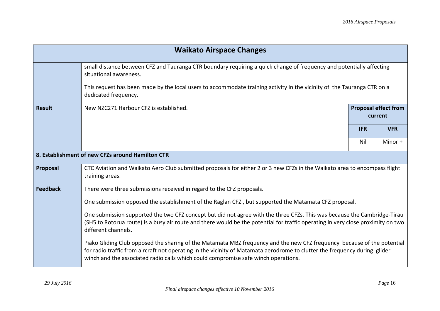| <b>Waikato Airspace Changes</b> |                                                                                                                                                                                                                                                                                                                                             |                                        |            |  |
|---------------------------------|---------------------------------------------------------------------------------------------------------------------------------------------------------------------------------------------------------------------------------------------------------------------------------------------------------------------------------------------|----------------------------------------|------------|--|
|                                 | small distance between CFZ and Tauranga CTR boundary requiring a quick change of frequency and potentially affecting<br>situational awareness.                                                                                                                                                                                              |                                        |            |  |
|                                 | This request has been made by the local users to accommodate training activity in the vicinity of the Tauranga CTR on a<br>dedicated frequency.                                                                                                                                                                                             |                                        |            |  |
| <b>Result</b>                   | New NZC271 Harbour CFZ is established.                                                                                                                                                                                                                                                                                                      | <b>Proposal effect from</b><br>current |            |  |
|                                 |                                                                                                                                                                                                                                                                                                                                             | <b>IFR</b>                             | <b>VFR</b> |  |
|                                 |                                                                                                                                                                                                                                                                                                                                             | Nil                                    | Minor +    |  |
|                                 | 8. Establishment of new CFZs around Hamilton CTR                                                                                                                                                                                                                                                                                            |                                        |            |  |
| Proposal                        | CTC Aviation and Waikato Aero Club submitted proposals for either 2 or 3 new CFZs in the Waikato area to encompass flight<br>training areas.                                                                                                                                                                                                |                                        |            |  |
| <b>Feedback</b>                 | There were three submissions received in regard to the CFZ proposals.                                                                                                                                                                                                                                                                       |                                        |            |  |
|                                 | One submission opposed the establishment of the Raglan CFZ, but supported the Matamata CFZ proposal.                                                                                                                                                                                                                                        |                                        |            |  |
|                                 | One submission supported the two CFZ concept but did not agree with the three CFZs. This was because the Cambridge-Tirau<br>(SH5 to Rotorua route) is a busy air route and there would be the potential for traffic operating in very close proximity on two<br>different channels.                                                         |                                        |            |  |
|                                 | Piako Gliding Club opposed the sharing of the Matamata MBZ frequency and the new CFZ frequency because of the potential<br>for radio traffic from aircraft not operating in the vicinity of Matamata aerodrome to clutter the frequency during glider<br>winch and the associated radio calls which could compromise safe winch operations. |                                        |            |  |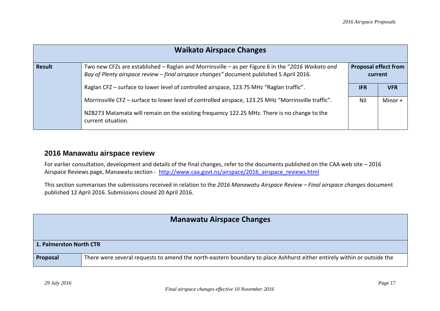| <b>Waikato Airspace Changes</b> |                                                                                                                                                                                                                           |            |                             |
|---------------------------------|---------------------------------------------------------------------------------------------------------------------------------------------------------------------------------------------------------------------------|------------|-----------------------------|
| <b>Result</b>                   | Two new CFZs are established - Raglan and Morrinsville - as per Figure 6 in the "2016 Waikato and<br>Bay of Plenty airspace review - final airspace changes" document published 5 April 2016.                             | current    | <b>Proposal effect from</b> |
|                                 | Raglan CFZ – surface to lower level of controlled airspace, 123.75 MHz "Raglan traffic".                                                                                                                                  | <b>IFR</b> | <b>VFR</b>                  |
|                                 | Morrinsville CFZ - surface to lower level of controlled airspace, 123.25 MHz "Morrinsville traffic".<br>NZB273 Matamata will remain on the existing frequency 122.25 MHz. There is no change to the<br>current situation. | Nil        | Minor +                     |

#### **2016 Manawatu airspace review**

For earlier consultation, development and details of the final changes, refer to the documents published on the CAA web site – 2016 Airspace Reviews page, Manawatu section - [http://www.caa.govt.nz/airspace/2016\\_airspace\\_reviews.html](http://www.caa.govt.nz/airspace/2016_airspace_reviews.html)

This section summarises the submissions received in relation to the *2016 Manawatu Airspace Review – Final airspace changes* document published 12 April 2016. Submissions closed 20 April 2016.

| 1. Palmerston North CTR |                                                                                                                         |
|-------------------------|-------------------------------------------------------------------------------------------------------------------------|
| <b>Proposal</b>         | There were several requests to amend the north-eastern boundary to place Ashhurst either entirely within or outside the |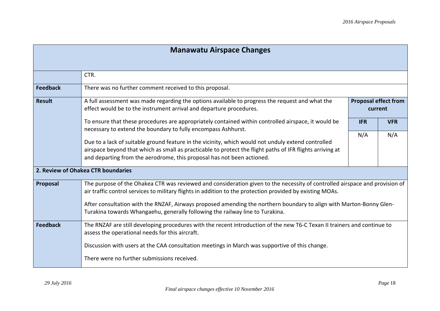| <b>Manawatu Airspace Changes</b>                                                                                                                                                                                                                                                                                                                                                                                                                             |                                                                                                                                                                                                                                                                                           |                                        |            |
|--------------------------------------------------------------------------------------------------------------------------------------------------------------------------------------------------------------------------------------------------------------------------------------------------------------------------------------------------------------------------------------------------------------------------------------------------------------|-------------------------------------------------------------------------------------------------------------------------------------------------------------------------------------------------------------------------------------------------------------------------------------------|----------------------------------------|------------|
|                                                                                                                                                                                                                                                                                                                                                                                                                                                              |                                                                                                                                                                                                                                                                                           |                                        |            |
|                                                                                                                                                                                                                                                                                                                                                                                                                                                              | CTR.                                                                                                                                                                                                                                                                                      |                                        |            |
| <b>Feedback</b>                                                                                                                                                                                                                                                                                                                                                                                                                                              | There was no further comment received to this proposal.                                                                                                                                                                                                                                   |                                        |            |
| <b>Result</b>                                                                                                                                                                                                                                                                                                                                                                                                                                                | A full assessment was made regarding the options available to progress the request and what the<br>effect would be to the instrument arrival and departure procedures.                                                                                                                    | <b>Proposal effect from</b><br>current |            |
|                                                                                                                                                                                                                                                                                                                                                                                                                                                              | To ensure that these procedures are appropriately contained within controlled airspace, it would be<br>necessary to extend the boundary to fully encompass Ashhurst.                                                                                                                      | <b>IFR</b>                             | <b>VFR</b> |
|                                                                                                                                                                                                                                                                                                                                                                                                                                                              | Due to a lack of suitable ground feature in the vicinity, which would not unduly extend controlled<br>airspace beyond that which as small as practicable to protect the flight paths of IFR flights arriving at<br>and departing from the aerodrome, this proposal has not been actioned. | N/A                                    | N/A        |
|                                                                                                                                                                                                                                                                                                                                                                                                                                                              | 2. Review of Ohakea CTR boundaries                                                                                                                                                                                                                                                        |                                        |            |
| The purpose of the Ohakea CTR was reviewed and consideration given to the necessity of controlled airspace and provision of<br>Proposal<br>air traffic control services to military flights in addition to the protection provided by existing MOAs.<br>After consultation with the RNZAF, Airways proposed amending the northern boundary to align with Marton-Bonny Glen-<br>Turakina towards Whangaehu, generally following the railway line to Turakina. |                                                                                                                                                                                                                                                                                           |                                        |            |
| <b>Feedback</b>                                                                                                                                                                                                                                                                                                                                                                                                                                              | The RNZAF are still developing procedures with the recent introduction of the new T6-C Texan II trainers and continue to<br>assess the operational needs for this aircraft.                                                                                                               |                                        |            |
|                                                                                                                                                                                                                                                                                                                                                                                                                                                              | Discussion with users at the CAA consultation meetings in March was supportive of this change.<br>There were no further submissions received.                                                                                                                                             |                                        |            |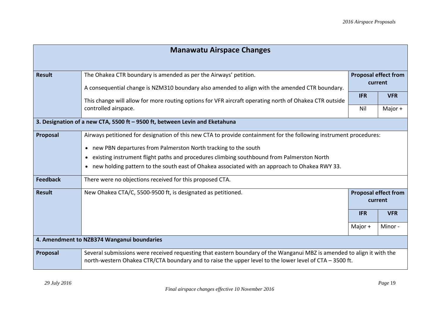| <b>Manawatu Airspace Changes</b>           |                                                                                                                                                                                                                                   |                             |            |
|--------------------------------------------|-----------------------------------------------------------------------------------------------------------------------------------------------------------------------------------------------------------------------------------|-----------------------------|------------|
|                                            |                                                                                                                                                                                                                                   |                             |            |
| <b>Result</b>                              | The Ohakea CTR boundary is amended as per the Airways' petition.                                                                                                                                                                  | <b>Proposal effect from</b> |            |
|                                            | A consequential change is NZM310 boundary also amended to align with the amended CTR boundary.                                                                                                                                    | current                     |            |
|                                            | This change will allow for more routing options for VFR aircraft operating north of Ohakea CTR outside                                                                                                                            | <b>IFR</b>                  | <b>VFR</b> |
|                                            | controlled airspace.                                                                                                                                                                                                              | Nil                         | Major +    |
|                                            | 3. Designation of a new CTA, 5500 ft - 9500 ft, between Levin and Eketahuna                                                                                                                                                       |                             |            |
| Proposal                                   | Airways petitioned for designation of this new CTA to provide containment for the following instrument procedures:                                                                                                                |                             |            |
|                                            | new PBN departures from Palmerston North tracking to the south<br>$\bullet$                                                                                                                                                       |                             |            |
|                                            | existing instrument flight paths and procedures climbing southbound from Palmerston North<br>٠                                                                                                                                    |                             |            |
|                                            | new holding pattern to the south east of Ohakea associated with an approach to Ohakea RWY 33.<br>٠                                                                                                                                |                             |            |
| <b>Feedback</b>                            | There were no objections received for this proposed CTA.                                                                                                                                                                          |                             |            |
| <b>Result</b>                              | New Ohakea CTA/C, 5500-9500 ft, is designated as petitioned.                                                                                                                                                                      | <b>Proposal effect from</b> |            |
|                                            |                                                                                                                                                                                                                                   | current                     |            |
|                                            |                                                                                                                                                                                                                                   | <b>IFR</b>                  | <b>VFR</b> |
|                                            |                                                                                                                                                                                                                                   | Major $+$                   | Minor-     |
| 4. Amendment to NZB374 Wanganui boundaries |                                                                                                                                                                                                                                   |                             |            |
| Proposal                                   | Several submissions were received requesting that eastern boundary of the Wanganui MBZ is amended to align it with the<br>north-western Ohakea CTR/CTA boundary and to raise the upper level to the lower level of CTA - 3500 ft. |                             |            |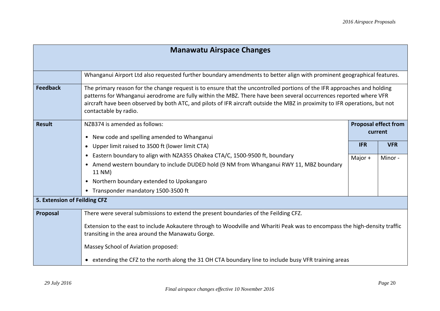| <b>Manawatu Airspace Changes</b> |                                                                                                                                                                                                                                                                                                                                                                                                      |            |                             |
|----------------------------------|------------------------------------------------------------------------------------------------------------------------------------------------------------------------------------------------------------------------------------------------------------------------------------------------------------------------------------------------------------------------------------------------------|------------|-----------------------------|
|                                  |                                                                                                                                                                                                                                                                                                                                                                                                      |            |                             |
|                                  | Whanganui Airport Ltd also requested further boundary amendments to better align with prominent geographical features.                                                                                                                                                                                                                                                                               |            |                             |
| <b>Feedback</b>                  | The primary reason for the change request is to ensure that the uncontrolled portions of the IFR approaches and holding<br>patterns for Whanganui aerodrome are fully within the MBZ. There have been several occurrences reported where VFR<br>aircraft have been observed by both ATC, and pilots of IFR aircraft outside the MBZ in proximity to IFR operations, but not<br>contactable by radio. |            |                             |
| <b>Result</b>                    | NZB374 is amended as follows:                                                                                                                                                                                                                                                                                                                                                                        |            | <b>Proposal effect from</b> |
|                                  | New code and spelling amended to Whanganui<br>$\bullet$                                                                                                                                                                                                                                                                                                                                              |            | current                     |
|                                  | Upper limit raised to 3500 ft (lower limit CTA)<br>$\bullet$                                                                                                                                                                                                                                                                                                                                         | <b>IFR</b> | <b>VFR</b>                  |
|                                  | Eastern boundary to align with NZA355 Ohakea CTA/C, 1500-9500 ft, boundary<br>٠                                                                                                                                                                                                                                                                                                                      | Major $+$  | Minor-                      |
|                                  | Amend western boundary to include DUDED hold (9 NM from Whanganui RWY 11, MBZ boundary<br>$\bullet$<br>11 NM)                                                                                                                                                                                                                                                                                        |            |                             |
|                                  | Northern boundary extended to Upokangaro<br>$\bullet$                                                                                                                                                                                                                                                                                                                                                |            |                             |
|                                  | • Transponder mandatory 1500-3500 ft                                                                                                                                                                                                                                                                                                                                                                 |            |                             |
| 5. Extension of Feilding CFZ     |                                                                                                                                                                                                                                                                                                                                                                                                      |            |                             |
| Proposal                         | There were several submissions to extend the present boundaries of the Feilding CFZ.                                                                                                                                                                                                                                                                                                                 |            |                             |
|                                  | Extension to the east to include Aokautere through to Woodville and Whariti Peak was to encompass the high-density traffic<br>transiting in the area around the Manawatu Gorge.                                                                                                                                                                                                                      |            |                             |
|                                  | Massey School of Aviation proposed:                                                                                                                                                                                                                                                                                                                                                                  |            |                             |
|                                  | • extending the CFZ to the north along the 31 OH CTA boundary line to include busy VFR training areas                                                                                                                                                                                                                                                                                                |            |                             |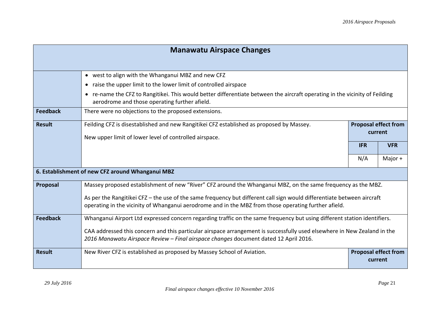| <b>Manawatu Airspace Changes</b>                 |                                                                                                                                                                                                                                |                                        |            |  |
|--------------------------------------------------|--------------------------------------------------------------------------------------------------------------------------------------------------------------------------------------------------------------------------------|----------------------------------------|------------|--|
|                                                  |                                                                                                                                                                                                                                |                                        |            |  |
|                                                  | • west to align with the Whanganui MBZ and new CFZ                                                                                                                                                                             |                                        |            |  |
|                                                  | raise the upper limit to the lower limit of controlled airspace<br>$\bullet$                                                                                                                                                   |                                        |            |  |
|                                                  | re-name the CFZ to Rangitikei. This would better differentiate between the aircraft operating in the vicinity of Feilding<br>aerodrome and those operating further afield.                                                     |                                        |            |  |
| <b>Feedback</b>                                  | There were no objections to the proposed extensions.                                                                                                                                                                           |                                        |            |  |
| <b>Result</b>                                    | Feilding CFZ is disestablished and new Rangitikei CFZ established as proposed by Massey.                                                                                                                                       | <b>Proposal effect from</b>            |            |  |
|                                                  | New upper limit of lower level of controlled airspace.                                                                                                                                                                         |                                        | current    |  |
|                                                  |                                                                                                                                                                                                                                | <b>IFR</b>                             | <b>VFR</b> |  |
|                                                  |                                                                                                                                                                                                                                | N/A                                    | Major $+$  |  |
| 6. Establishment of new CFZ around Whanganui MBZ |                                                                                                                                                                                                                                |                                        |            |  |
| Proposal                                         | Massey proposed establishment of new "River" CFZ around the Whanganui MBZ, on the same frequency as the MBZ.                                                                                                                   |                                        |            |  |
|                                                  | As per the Rangitikei CFZ - the use of the same frequency but different call sign would differentiate between aircraft<br>operating in the vicinity of Whanganui aerodrome and in the MBZ from those operating further afield. |                                        |            |  |
|                                                  |                                                                                                                                                                                                                                |                                        |            |  |
| <b>Feedback</b>                                  | Whanganui Airport Ltd expressed concern regarding traffic on the same frequency but using different station identifiers.                                                                                                       |                                        |            |  |
|                                                  | CAA addressed this concern and this particular airspace arrangement is successfully used elsewhere in New Zealand in the                                                                                                       |                                        |            |  |
|                                                  | 2016 Manawatu Airspace Review - Final airspace changes document dated 12 April 2016.                                                                                                                                           |                                        |            |  |
| <b>Result</b>                                    | New River CFZ is established as proposed by Massey School of Aviation.                                                                                                                                                         | <b>Proposal effect from</b><br>current |            |  |
|                                                  |                                                                                                                                                                                                                                |                                        |            |  |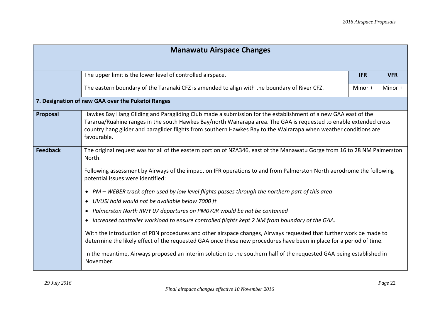| <b>Manawatu Airspace Changes</b> |                                                                                                                                                                                                                                                                                                                                                                                                                                                                                                                                                                                                                                                                                                                                                                                                                                                                                                                                                                                                                                                            |            |            |  |
|----------------------------------|------------------------------------------------------------------------------------------------------------------------------------------------------------------------------------------------------------------------------------------------------------------------------------------------------------------------------------------------------------------------------------------------------------------------------------------------------------------------------------------------------------------------------------------------------------------------------------------------------------------------------------------------------------------------------------------------------------------------------------------------------------------------------------------------------------------------------------------------------------------------------------------------------------------------------------------------------------------------------------------------------------------------------------------------------------|------------|------------|--|
|                                  |                                                                                                                                                                                                                                                                                                                                                                                                                                                                                                                                                                                                                                                                                                                                                                                                                                                                                                                                                                                                                                                            |            |            |  |
|                                  | The upper limit is the lower level of controlled airspace.                                                                                                                                                                                                                                                                                                                                                                                                                                                                                                                                                                                                                                                                                                                                                                                                                                                                                                                                                                                                 | <b>IFR</b> | <b>VFR</b> |  |
|                                  | The eastern boundary of the Taranaki CFZ is amended to align with the boundary of River CFZ.                                                                                                                                                                                                                                                                                                                                                                                                                                                                                                                                                                                                                                                                                                                                                                                                                                                                                                                                                               | Minor +    | Minor +    |  |
|                                  | 7. Designation of new GAA over the Puketoi Ranges                                                                                                                                                                                                                                                                                                                                                                                                                                                                                                                                                                                                                                                                                                                                                                                                                                                                                                                                                                                                          |            |            |  |
| Proposal                         | Hawkes Bay Hang Gliding and Paragliding Club made a submission for the establishment of a new GAA east of the<br>Tararua/Ruahine ranges in the south Hawkes Bay/north Wairarapa area. The GAA is requested to enable extended cross<br>country hang glider and paraglider flights from southern Hawkes Bay to the Wairarapa when weather conditions are<br>favourable.                                                                                                                                                                                                                                                                                                                                                                                                                                                                                                                                                                                                                                                                                     |            |            |  |
| <b>Feedback</b>                  | The original request was for all of the eastern portion of NZA346, east of the Manawatu Gorge from 16 to 28 NM Palmerston<br>North.<br>Following assessment by Airways of the impact on IFR operations to and from Palmerston North aerodrome the following<br>potential issues were identified:<br>PM – WEBER track often used by low level flights passes through the northern part of this area<br>$\bullet$<br>UVUSI hold would not be available below 7000 ft<br>$\bullet$<br>Palmerston North RWY 07 departures on PM070R would be not be contained<br>Increased controller workload to ensure controlled flights kept 2 NM from boundary of the GAA.<br>$\bullet$<br>With the introduction of PBN procedures and other airspace changes, Airways requested that further work be made to<br>determine the likely effect of the requested GAA once these new procedures have been in place for a period of time.<br>In the meantime, Airways proposed an interim solution to the southern half of the requested GAA being established in<br>November. |            |            |  |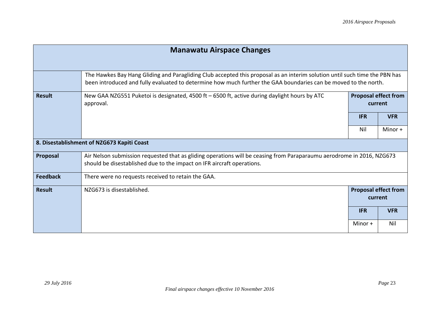| <b>Manawatu Airspace Changes</b> |                                                                                                                                                                                                                                               |                                        |            |  |
|----------------------------------|-----------------------------------------------------------------------------------------------------------------------------------------------------------------------------------------------------------------------------------------------|----------------------------------------|------------|--|
|                                  |                                                                                                                                                                                                                                               |                                        |            |  |
|                                  | The Hawkes Bay Hang Gliding and Paragliding Club accepted this proposal as an interim solution until such time the PBN has<br>been introduced and fully evaluated to determine how much further the GAA boundaries can be moved to the north. |                                        |            |  |
| <b>Result</b>                    | New GAA NZG551 Puketoi is designated, 4500 ft - 6500 ft, active during daylight hours by ATC<br>approval.                                                                                                                                     | <b>Proposal effect from</b><br>current |            |  |
|                                  |                                                                                                                                                                                                                                               | <b>IFR</b>                             | <b>VFR</b> |  |
|                                  |                                                                                                                                                                                                                                               | Nil                                    | Minor +    |  |
|                                  | 8. Disestablishment of NZG673 Kapiti Coast                                                                                                                                                                                                    |                                        |            |  |
| Proposal                         | Air Nelson submission requested that as gliding operations will be ceasing from Paraparaumu aerodrome in 2016, NZG673<br>should be disestablished due to the impact on IFR aircraft operations.                                               |                                        |            |  |
| <b>Feedback</b>                  | There were no requests received to retain the GAA.                                                                                                                                                                                            |                                        |            |  |
| <b>Result</b>                    | NZG673 is disestablished.                                                                                                                                                                                                                     | <b>Proposal effect from</b><br>current |            |  |
|                                  |                                                                                                                                                                                                                                               | <b>IFR</b>                             | <b>VFR</b> |  |
|                                  |                                                                                                                                                                                                                                               | Minor +                                | Nil        |  |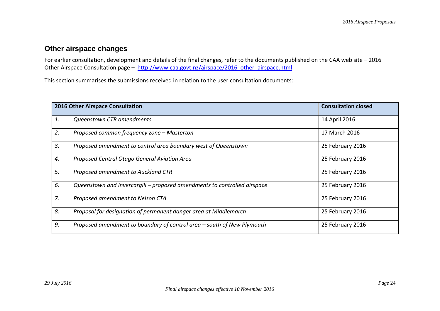### **Other airspace changes**

For earlier consultation, development and details of the final changes, refer to the documents published on the CAA web site – 2016 Other Airspace Consultation page – http://www.caa.govt.nz/airspace/2016\_other\_airspace.html

This section summarises the submissions received in relation to the user consultation documents:

|    | 2016 Other Airspace Consultation                                         | <b>Consultation closed</b> |
|----|--------------------------------------------------------------------------|----------------------------|
| 1. | Queenstown CTR amendments                                                | 14 April 2016              |
| 2. | Proposed common frequency zone - Masterton                               | 17 March 2016              |
| 3. | Proposed amendment to control area boundary west of Queenstown           | 25 February 2016           |
| 4. | Proposed Central Otago General Aviation Area                             | 25 February 2016           |
| 5. | Proposed amendment to Auckland CTR                                       | 25 February 2016           |
| 6. | Queenstown and Invercargill - proposed amendments to controlled airspace | 25 February 2016           |
| 7. | Proposed amendment to Nelson CTA                                         | 25 February 2016           |
| 8. | Proposal for designation of permanent danger area at Middlemarch         | 25 February 2016           |
| 9. | Proposed amendment to boundary of control area – south of New Plymouth   | 25 February 2016           |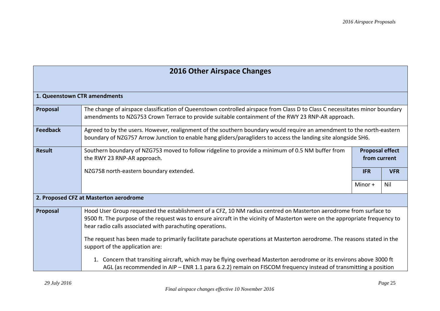| <b>2016 Other Airspace Changes</b> |  |
|------------------------------------|--|
|------------------------------------|--|

| 1. Queenstown CTR amendments |                                                                                                                                                                                                                                                                                                               |                                        |            |
|------------------------------|---------------------------------------------------------------------------------------------------------------------------------------------------------------------------------------------------------------------------------------------------------------------------------------------------------------|----------------------------------------|------------|
| Proposal                     | The change of airspace classification of Queenstown controlled airspace from Class D to Class C necessitates minor boundary<br>amendments to NZG753 Crown Terrace to provide suitable containment of the RWY 23 RNP-AR approach.                                                                              |                                        |            |
| <b>Feedback</b>              | Agreed to by the users. However, realignment of the southern boundary would require an amendment to the north-eastern<br>boundary of NZG757 Arrow Junction to enable hang gliders/paragliders to access the landing site alongside SH6.                                                                       |                                        |            |
| <b>Result</b>                | Southern boundary of NZG753 moved to follow ridgeline to provide a minimum of 0.5 NM buffer from<br>the RWY 23 RNP-AR approach.                                                                                                                                                                               | <b>Proposal effect</b><br>from current |            |
|                              | NZG758 north-eastern boundary extended.                                                                                                                                                                                                                                                                       | <b>IFR</b>                             | <b>VFR</b> |
|                              |                                                                                                                                                                                                                                                                                                               | Minor $+$                              | Nil        |
|                              | 2. Proposed CFZ at Masterton aerodrome                                                                                                                                                                                                                                                                        |                                        |            |
| Proposal                     | Hood User Group requested the establishment of a CFZ, 10 NM radius centred on Masterton aerodrome from surface to<br>9500 ft. The purpose of the request was to ensure aircraft in the vicinity of Masterton were on the appropriate frequency to<br>hear radio calls associated with parachuting operations. |                                        |            |
|                              | The request has been made to primarily facilitate parachute operations at Masterton aerodrome. The reasons stated in the<br>support of the application are:                                                                                                                                                   |                                        |            |
|                              | 1. Concern that transiting aircraft, which may be flying overhead Masterton aerodrome or its environs above 3000 ft<br>AGL (as recommended in AIP – ENR 1.1 para 6.2.2) remain on FISCOM frequency instead of transmitting a position                                                                         |                                        |            |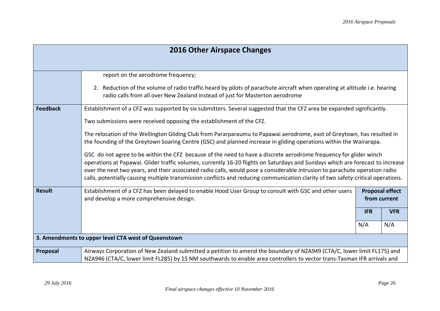|                                                     | <b>2016 Other Airspace Changes</b>                                                                                                                                                                                                                                                                                                                                                                                                                                                                                                                                                                                                                                                                                                                                                                                                                                                                                                                                        |                                                                                  |  |
|-----------------------------------------------------|---------------------------------------------------------------------------------------------------------------------------------------------------------------------------------------------------------------------------------------------------------------------------------------------------------------------------------------------------------------------------------------------------------------------------------------------------------------------------------------------------------------------------------------------------------------------------------------------------------------------------------------------------------------------------------------------------------------------------------------------------------------------------------------------------------------------------------------------------------------------------------------------------------------------------------------------------------------------------|----------------------------------------------------------------------------------|--|
|                                                     | report on the aerodrome frequency;<br>2. Reduction of the volume of radio traffic heard by pilots of parachute aircraft when operating at altitude i.e. hearing<br>radio calls from all over New Zealand instead of just for Masterton aerodrome                                                                                                                                                                                                                                                                                                                                                                                                                                                                                                                                                                                                                                                                                                                          |                                                                                  |  |
| <b>Feedback</b>                                     | Establishment of a CFZ was supported by six submitters. Several suggested that the CFZ area be expanded significantly.<br>Two submissions were received opposing the establishment of the CFZ.<br>The relocation of the Wellington Gliding Club from Pararparaumu to Papawai aerodrome, east of Greytown, has resulted in<br>the founding of the Greytown Soaring Centre (GSC) and planned increase in gliding operations within the Wairarapa.<br>GSC do not agree to be within the CFZ because of the need to have a discrete aerodrome frequency for glider winch<br>operations at Papawai. Glider traffic volumes, currently 16-20 flights on Saturdays and Sundays which are forecast to increase<br>over the next two years, and their associated radio calls, would pose a considerable intrusion to parachute operation radio<br>calls, potentially causing multiple transmission conflicts and reducing communication clarity of two safety-critical operations. |                                                                                  |  |
| <b>Result</b>                                       | Establishment of a CFZ has been delayed to enable Hood User Group to consult with GSC and other users<br>and develop a more comprehensive design.                                                                                                                                                                                                                                                                                                                                                                                                                                                                                                                                                                                                                                                                                                                                                                                                                         | <b>Proposal effect</b><br>from current<br><b>IFR</b><br><b>VFR</b><br>N/A<br>N/A |  |
| 3. Amendments to upper level CTA west of Queenstown |                                                                                                                                                                                                                                                                                                                                                                                                                                                                                                                                                                                                                                                                                                                                                                                                                                                                                                                                                                           |                                                                                  |  |
| Proposal                                            | Airways Corporation of New Zealand submitted a petition to amend the boundary of NZA949 (CTA/C, lower limit FL175) and<br>NZA946 (CTA/C, lower limit FL285) by 15 NM southwards to enable area controllers to vector trans-Tasman IFR arrivals and                                                                                                                                                                                                                                                                                                                                                                                                                                                                                                                                                                                                                                                                                                                        |                                                                                  |  |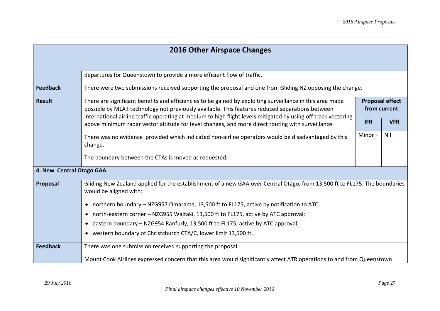| <b>2016 Other Airspace Changes</b> |                                                                                                                                                                                                                                                                                                                                |            |                                        |  |  |
|------------------------------------|--------------------------------------------------------------------------------------------------------------------------------------------------------------------------------------------------------------------------------------------------------------------------------------------------------------------------------|------------|----------------------------------------|--|--|
|                                    |                                                                                                                                                                                                                                                                                                                                |            |                                        |  |  |
|                                    | departures for Queenstown to provide a more efficient flow of traffic.                                                                                                                                                                                                                                                         |            |                                        |  |  |
| <b>Feedback</b>                    | There were two submissions received supporting the proposal and one from Gliding NZ opposing the change.                                                                                                                                                                                                                       |            |                                        |  |  |
| <b>Result</b>                      | There are significant benefits and efficiencies to be gained by exploiting surveillance in this area made<br>possible by MLAT technology not previously available. This features reduced separations between<br>international airline traffic operating at medium to high flight levels mitigated by using off track vectoring |            | <b>Proposal effect</b><br>from current |  |  |
|                                    | above minimum radar vector altitude for level changes, and more direct routing with surveillance.                                                                                                                                                                                                                              | <b>IFR</b> | <b>VFR</b>                             |  |  |
|                                    | There was no evidence provided which indicated non-airline operators would be disadvantaged by this<br>change.                                                                                                                                                                                                                 | Minor +    | Nil                                    |  |  |
|                                    | The boundary between the CTAs is moved as requested.                                                                                                                                                                                                                                                                           |            |                                        |  |  |
| 4. New Central Otago GAA           |                                                                                                                                                                                                                                                                                                                                |            |                                        |  |  |
| Proposal                           | Gliding New Zealand applied for the establishment of a new GAA over Central Otago, from 13,500 ft to FL175. The boundaries<br>would be aligned with:                                                                                                                                                                           |            |                                        |  |  |
|                                    | northern boundary - NZG957 Omarama, 13,500 ft to FL175, active by notification to ATC;<br>$\bullet$                                                                                                                                                                                                                            |            |                                        |  |  |
|                                    | north-eastern corner - NZG955 Waitaki, 13,500 ft to FL175, active by ATC approval;                                                                                                                                                                                                                                             |            |                                        |  |  |
|                                    | • eastern boundary - NZG954 Ranfurly, 13,500 ft to FL175, active by ATC approval;                                                                                                                                                                                                                                              |            |                                        |  |  |
|                                    | • western boundary of Christchurch CTA/C, lower limit 13,500 ft.                                                                                                                                                                                                                                                               |            |                                        |  |  |
| <b>Feedback</b>                    | There was one submission received supporting the proposal.                                                                                                                                                                                                                                                                     |            |                                        |  |  |
|                                    | Mount Cook Airlines expressed concern that this area would significantly affect ATR operations to and from Queenstown                                                                                                                                                                                                          |            |                                        |  |  |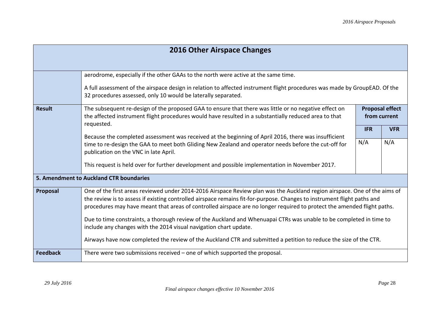| <b>2016 Other Airspace Changes</b> |                                                                                                                                                                                                                                                                                                                                                                                 |            |                                        |  |
|------------------------------------|---------------------------------------------------------------------------------------------------------------------------------------------------------------------------------------------------------------------------------------------------------------------------------------------------------------------------------------------------------------------------------|------------|----------------------------------------|--|
|                                    |                                                                                                                                                                                                                                                                                                                                                                                 |            |                                        |  |
|                                    | aerodrome, especially if the other GAAs to the north were active at the same time.                                                                                                                                                                                                                                                                                              |            |                                        |  |
|                                    | A full assessment of the airspace design in relation to affected instrument flight procedures was made by GroupEAD. Of the<br>32 procedures assessed, only 10 would be laterally separated.                                                                                                                                                                                     |            |                                        |  |
| <b>Result</b>                      | The subsequent re-design of the proposed GAA to ensure that there was little or no negative effect on<br>the affected instrument flight procedures would have resulted in a substantially reduced area to that                                                                                                                                                                  |            | <b>Proposal effect</b><br>from current |  |
|                                    | requested.                                                                                                                                                                                                                                                                                                                                                                      | <b>IFR</b> | <b>VFR</b>                             |  |
|                                    | Because the completed assessment was received at the beginning of April 2016, there was insufficient                                                                                                                                                                                                                                                                            | N/A        | N/A                                    |  |
|                                    | time to re-design the GAA to meet both Gliding New Zealand and operator needs before the cut-off for<br>publication on the VNC in late April.                                                                                                                                                                                                                                   |            |                                        |  |
|                                    | This request is held over for further development and possible implementation in November 2017.                                                                                                                                                                                                                                                                                 |            |                                        |  |
|                                    | 5. Amendment to Auckland CTR boundaries                                                                                                                                                                                                                                                                                                                                         |            |                                        |  |
| Proposal                           | One of the first areas reviewed under 2014-2016 Airspace Review plan was the Auckland region airspace. One of the aims of<br>the review is to assess if existing controlled airspace remains fit-for-purpose. Changes to instrument flight paths and<br>procedures may have meant that areas of controlled airspace are no longer required to protect the amended flight paths. |            |                                        |  |
|                                    | Due to time constraints, a thorough review of the Auckland and Whenuapai CTRs was unable to be completed in time to<br>include any changes with the 2014 visual navigation chart update.                                                                                                                                                                                        |            |                                        |  |
|                                    | Airways have now completed the review of the Auckland CTR and submitted a petition to reduce the size of the CTR.                                                                                                                                                                                                                                                               |            |                                        |  |
| <b>Feedback</b>                    | There were two submissions received $-$ one of which supported the proposal.                                                                                                                                                                                                                                                                                                    |            |                                        |  |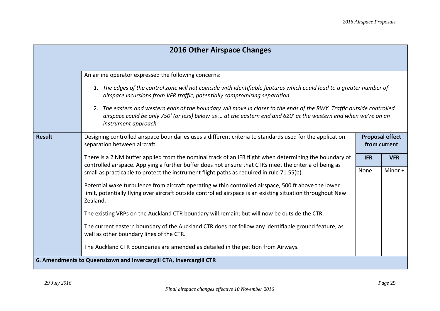| <b>2016 Other Airspace Changes</b> |                                                                                                                                                                                                                                                                                                                                                                                                                                                                          |                                        |            |  |
|------------------------------------|--------------------------------------------------------------------------------------------------------------------------------------------------------------------------------------------------------------------------------------------------------------------------------------------------------------------------------------------------------------------------------------------------------------------------------------------------------------------------|----------------------------------------|------------|--|
|                                    | An airline operator expressed the following concerns:                                                                                                                                                                                                                                                                                                                                                                                                                    |                                        |            |  |
|                                    | 1. The edges of the control zone will not coincide with identifiable features which could lead to a greater number of<br>airspace incursions from VFR traffic, potentially compromising separation.<br>2. The eastern and western ends of the boundary will move in closer to the ends of the RWY. Traffic outside controlled<br>airspace could be only 750' (or less) below us  at the eastern end and 620' at the western end when we're on an<br>instrument approach. |                                        |            |  |
| <b>Result</b>                      | Designing controlled airspace boundaries uses a different criteria to standards used for the application<br>separation between aircraft.                                                                                                                                                                                                                                                                                                                                 | <b>Proposal effect</b><br>from current |            |  |
|                                    | There is a 2 NM buffer applied from the nominal track of an IFR flight when determining the boundary of<br>controlled airspace. Applying a further buffer does not ensure that CTRs meet the criteria of being as                                                                                                                                                                                                                                                        | <b>IFR</b>                             | <b>VFR</b> |  |
|                                    | small as practicable to protect the instrument flight paths as required in rule 71.55(b).                                                                                                                                                                                                                                                                                                                                                                                | None                                   | Minor +    |  |
|                                    | Potential wake turbulence from aircraft operating within controlled airspace, 500 ft above the lower<br>limit, potentially flying over aircraft outside controlled airspace is an existing situation throughout New<br>Zealand.                                                                                                                                                                                                                                          |                                        |            |  |
|                                    | The existing VRPs on the Auckland CTR boundary will remain; but will now be outside the CTR.                                                                                                                                                                                                                                                                                                                                                                             |                                        |            |  |
|                                    | The current eastern boundary of the Auckland CTR does not follow any identifiable ground feature, as<br>well as other boundary lines of the CTR.                                                                                                                                                                                                                                                                                                                         |                                        |            |  |
|                                    | The Auckland CTR boundaries are amended as detailed in the petition from Airways.                                                                                                                                                                                                                                                                                                                                                                                        |                                        |            |  |
|                                    | 6. Amendments to Queenstown and Invercargill CTA, Invercargill CTR                                                                                                                                                                                                                                                                                                                                                                                                       |                                        |            |  |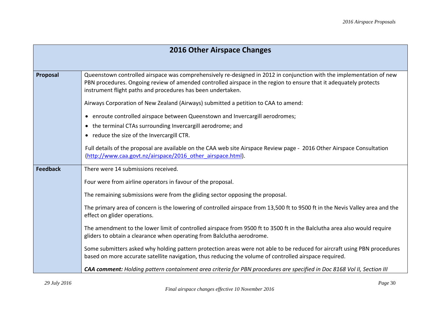|                 | <b>2016 Other Airspace Changes</b>                                                                                                                                                                                                                                                                       |  |  |
|-----------------|----------------------------------------------------------------------------------------------------------------------------------------------------------------------------------------------------------------------------------------------------------------------------------------------------------|--|--|
|                 |                                                                                                                                                                                                                                                                                                          |  |  |
| Proposal        | Queenstown controlled airspace was comprehensively re-designed in 2012 in conjunction with the implementation of new<br>PBN procedures. Ongoing review of amended controlled airspace in the region to ensure that it adequately protects<br>instrument flight paths and procedures has been undertaken. |  |  |
|                 | Airways Corporation of New Zealand (Airways) submitted a petition to CAA to amend:                                                                                                                                                                                                                       |  |  |
|                 | • enroute controlled airspace between Queenstown and Invercargill aerodromes;                                                                                                                                                                                                                            |  |  |
|                 | • the terminal CTAs surrounding Invercargill aerodrome; and                                                                                                                                                                                                                                              |  |  |
|                 | • reduce the size of the Invercargill CTR.                                                                                                                                                                                                                                                               |  |  |
|                 | Full details of the proposal are available on the CAA web site Airspace Review page - 2016 Other Airspace Consultation<br>(http://www.caa.govt.nz/airspace/2016 other airspace.html).                                                                                                                    |  |  |
| <b>Feedback</b> | There were 14 submissions received.                                                                                                                                                                                                                                                                      |  |  |
|                 | Four were from airline operators in favour of the proposal.                                                                                                                                                                                                                                              |  |  |
|                 | The remaining submissions were from the gliding sector opposing the proposal.                                                                                                                                                                                                                            |  |  |
|                 | The primary area of concern is the lowering of controlled airspace from 13,500 ft to 9500 ft in the Nevis Valley area and the<br>effect on glider operations.                                                                                                                                            |  |  |
|                 | The amendment to the lower limit of controlled airspace from 9500 ft to 3500 ft in the Balclutha area also would require<br>gliders to obtain a clearance when operating from Balclutha aerodrome.                                                                                                       |  |  |
|                 | Some submitters asked why holding pattern protection areas were not able to be reduced for aircraft using PBN procedures<br>based on more accurate satellite navigation, thus reducing the volume of controlled airspace required.                                                                       |  |  |
|                 | CAA comment: Holding pattern containment area criteria for PBN procedures are specified in Doc 8168 Vol II, Section III                                                                                                                                                                                  |  |  |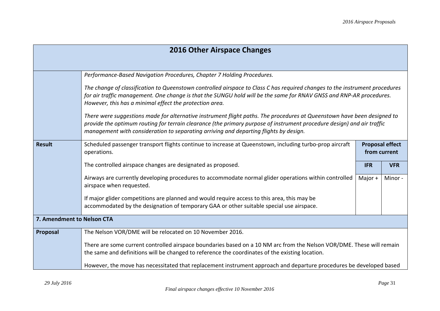| <b>2016 Other Airspace Changes</b> |                                                                                                                                                                                                                                                                                                                                            |            |            |
|------------------------------------|--------------------------------------------------------------------------------------------------------------------------------------------------------------------------------------------------------------------------------------------------------------------------------------------------------------------------------------------|------------|------------|
|                                    |                                                                                                                                                                                                                                                                                                                                            |            |            |
|                                    | Performance-Based Navigation Procedures, Chapter 7 Holding Procedures.                                                                                                                                                                                                                                                                     |            |            |
|                                    | The change of classification to Queenstown controlled airspace to Class C has required changes to the instrument procedures<br>for air traffic management. One change is that the SUNGU hold will be the same for RNAV GNSS and RNP-AR procedures.<br>However, this has a minimal effect the protection area.                              |            |            |
|                                    | There were suggestions made for alternative instrument flight paths. The procedures at Queenstown have been designed to<br>provide the optimum routing for terrain clearance (the primary purpose of instrument procedure design) and air traffic<br>management with consideration to separating arriving and departing flights by design. |            |            |
| <b>Result</b>                      | Scheduled passenger transport flights continue to increase at Queenstown, including turbo-prop aircraft<br><b>Proposal effect</b><br>from current<br>operations.                                                                                                                                                                           |            |            |
|                                    | The controlled airspace changes are designated as proposed.                                                                                                                                                                                                                                                                                | <b>IFR</b> | <b>VFR</b> |
|                                    | Airways are currently developing procedures to accommodate normal glider operations within controlled<br>airspace when requested.                                                                                                                                                                                                          | Major $+$  | Minor-     |
|                                    | If major glider competitions are planned and would require access to this area, this may be<br>accommodated by the designation of temporary GAA or other suitable special use airspace.                                                                                                                                                    |            |            |
| 7. Amendment to Nelson CTA         |                                                                                                                                                                                                                                                                                                                                            |            |            |
| Proposal                           | The Nelson VOR/DME will be relocated on 10 November 2016.                                                                                                                                                                                                                                                                                  |            |            |
|                                    | There are some current controlled airspace boundaries based on a 10 NM arc from the Nelson VOR/DME. These will remain<br>the same and definitions will be changed to reference the coordinates of the existing location.                                                                                                                   |            |            |
|                                    | However, the move has necessitated that replacement instrument approach and departure procedures be developed based                                                                                                                                                                                                                        |            |            |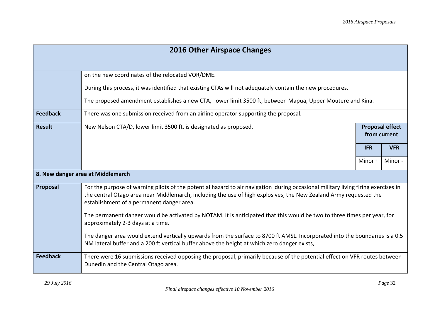| <b>2016 Other Airspace Changes</b> |                                                                                                                                                                                                                                                                                                     |                                        |            |
|------------------------------------|-----------------------------------------------------------------------------------------------------------------------------------------------------------------------------------------------------------------------------------------------------------------------------------------------------|----------------------------------------|------------|
|                                    |                                                                                                                                                                                                                                                                                                     |                                        |            |
|                                    | on the new coordinates of the relocated VOR/DME.                                                                                                                                                                                                                                                    |                                        |            |
|                                    | During this process, it was identified that existing CTAs will not adequately contain the new procedures.                                                                                                                                                                                           |                                        |            |
|                                    | The proposed amendment establishes a new CTA, lower limit 3500 ft, between Mapua, Upper Moutere and Kina.                                                                                                                                                                                           |                                        |            |
| <b>Feedback</b>                    | There was one submission received from an airline operator supporting the proposal.                                                                                                                                                                                                                 |                                        |            |
| <b>Result</b>                      | New Nelson CTA/D, lower limit 3500 ft, is designated as proposed.                                                                                                                                                                                                                                   | <b>Proposal effect</b><br>from current |            |
|                                    |                                                                                                                                                                                                                                                                                                     |                                        |            |
|                                    |                                                                                                                                                                                                                                                                                                     | <b>IFR</b>                             | <b>VFR</b> |
|                                    |                                                                                                                                                                                                                                                                                                     | Minor +                                | Minor-     |
|                                    | 8. New danger area at Middlemarch                                                                                                                                                                                                                                                                   |                                        |            |
| Proposal                           | For the purpose of warning pilots of the potential hazard to air navigation during occasional military living firing exercises in<br>the central Otago area near Middlemarch, including the use of high explosives, the New Zealand Army requested the<br>establishment of a permanent danger area. |                                        |            |
|                                    | The permanent danger would be activated by NOTAM. It is anticipated that this would be two to three times per year, for<br>approximately 2-3 days at a time.                                                                                                                                        |                                        |            |
|                                    | The danger area would extend vertically upwards from the surface to 8700 ft AMSL. Incorporated into the boundaries is a 0.5<br>NM lateral buffer and a 200 ft vertical buffer above the height at which zero danger exists,.                                                                        |                                        |            |
| <b>Feedback</b>                    | There were 16 submissions received opposing the proposal, primarily because of the potential effect on VFR routes between<br>Dunedin and the Central Otago area.                                                                                                                                    |                                        |            |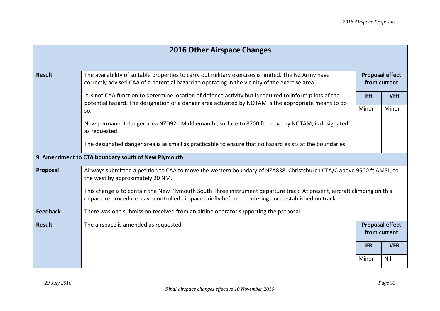| <b>2016 Other Airspace Changes</b>                 |                                                                                                                                                                                                                                 |                                        |            |
|----------------------------------------------------|---------------------------------------------------------------------------------------------------------------------------------------------------------------------------------------------------------------------------------|----------------------------------------|------------|
| <b>Result</b>                                      | The availability of suitable properties to carry out military exercises is limited. The NZ Army have<br>correctly advised CAA of a potential hazard to operating in the vicinity of the exercise area.                          | <b>Proposal effect</b><br>from current |            |
|                                                    | It is not CAA function to determine location of defence activity but is required to inform pilots of the<br>potential hazard. The designation of a danger area activated by NOTAM is the appropriate means to do<br>SO.         | <b>IFR</b>                             | <b>VFR</b> |
|                                                    |                                                                                                                                                                                                                                 | Minor-                                 | Minor-     |
|                                                    | New permanent danger area NZD921 Middlemarch, surface to 8700 ft, active by NOTAM, is designated<br>as requested.                                                                                                               |                                        |            |
|                                                    | The designated danger area is as small as practicable to ensure that no hazard exists at the boundaries.                                                                                                                        |                                        |            |
| 9. Amendment to CTA boundary south of New Plymouth |                                                                                                                                                                                                                                 |                                        |            |
| Proposal                                           | Airways submitted a petition to CAA to move the western boundary of NZA838, Christchurch CTA/C above 9500 ft AMSL, to<br>the west by approximately 20 NM.                                                                       |                                        |            |
|                                                    | This change is to contain the New Plymouth South Three instrument departure track. At present, aircraft climbing on this<br>departure procedure leave controlled airspace briefly before re-entering once established on track. |                                        |            |
| <b>Feedback</b>                                    | There was one submission received from an airline operator supporting the proposal.                                                                                                                                             |                                        |            |
| <b>Result</b>                                      | The airspace is amended as requested.                                                                                                                                                                                           | <b>Proposal effect</b><br>from current |            |
|                                                    |                                                                                                                                                                                                                                 | <b>IFR</b>                             | <b>VFR</b> |
|                                                    |                                                                                                                                                                                                                                 | Minor +                                | Nil        |